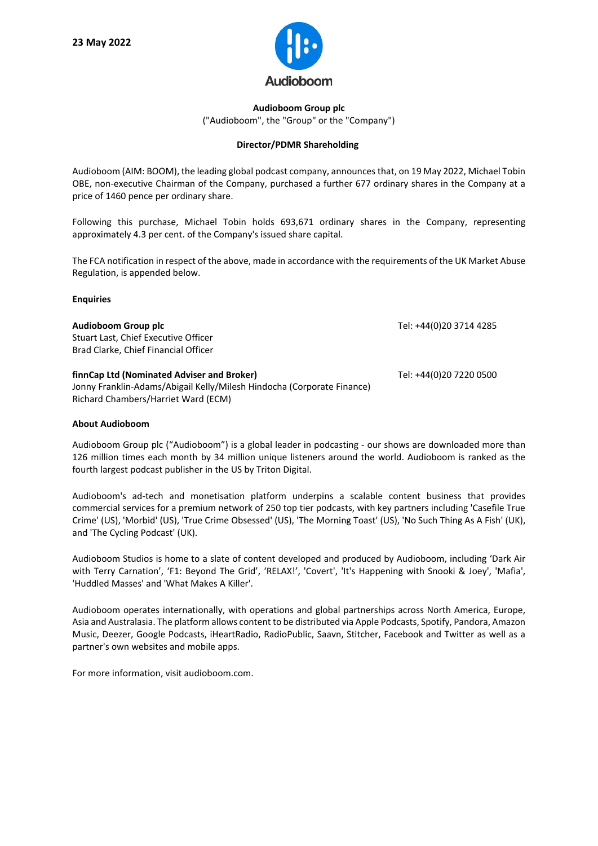

## **Audioboom Group plc** ("Audioboom", the "Group" or the "Company")

## **Director/PDMR Shareholding**

Audioboom (AIM: BOOM), the leading global podcast company, announces that, on 19 May 2022, Michael Tobin OBE, non-executive Chairman of the Company, purchased a further 677 ordinary shares in the Company at a price of 1460 pence per ordinary share.

Following this purchase, Michael Tobin holds 693,671 ordinary shares in the Company, representing approximately 4.3 per cent. of the Company's issued share capital.

The FCA notification in respect of the above, made in accordance with the requirements of the UK Market Abuse Regulation, is appended below.

## **Enquiries**

| Audioboom Group plc<br>Stuart Last, Chief Executive Officer<br>Brad Clarke, Chief Financial Officer                                                         | Tel: +44(0)20 3714 4285 |
|-------------------------------------------------------------------------------------------------------------------------------------------------------------|-------------------------|
| finnCap Ltd (Nominated Adviser and Broker)<br>Jonny Franklin-Adams/Abigail Kelly/Milesh Hindocha (Corporate Finance)<br>Richard Chambers/Harriet Ward (ECM) | Tel: +44(0)20 7220 0500 |

## **About Audioboom**

Audioboom Group plc ("Audioboom") is a global leader in podcasting - our shows are downloaded more than 126 million times each month by 34 million unique listeners around the world. Audioboom is ranked as the fourth largest podcast publisher in the US by Triton Digital.

Audioboom's ad-tech and monetisation platform underpins a scalable content business that provides commercial services for a premium network of 250 top tier podcasts, with key partners including 'Casefile True Crime' (US), 'Morbid' (US), 'True Crime Obsessed' (US), 'The Morning Toast' (US), 'No Such Thing As A Fish' (UK), and 'The Cycling Podcast' (UK).

Audioboom Studios is home to a slate of content developed and produced by Audioboom, including 'Dark Air with Terry Carnation', 'F1: Beyond The Grid', 'RELAX!', 'Covert', 'It's Happening with Snooki & Joey', 'Mafia', 'Huddled Masses' and 'What Makes A Killer'.

Audioboom operates internationally, with operations and global partnerships across North America, Europe, Asia and Australasia. The platform allows content to be distributed via Apple Podcasts, Spotify, Pandora, Amazon Music, Deezer, Google Podcasts, iHeartRadio, RadioPublic, Saavn, Stitcher, Facebook and Twitter as well as a partner's own websites and mobile apps.

For more information, visit audioboom.com.